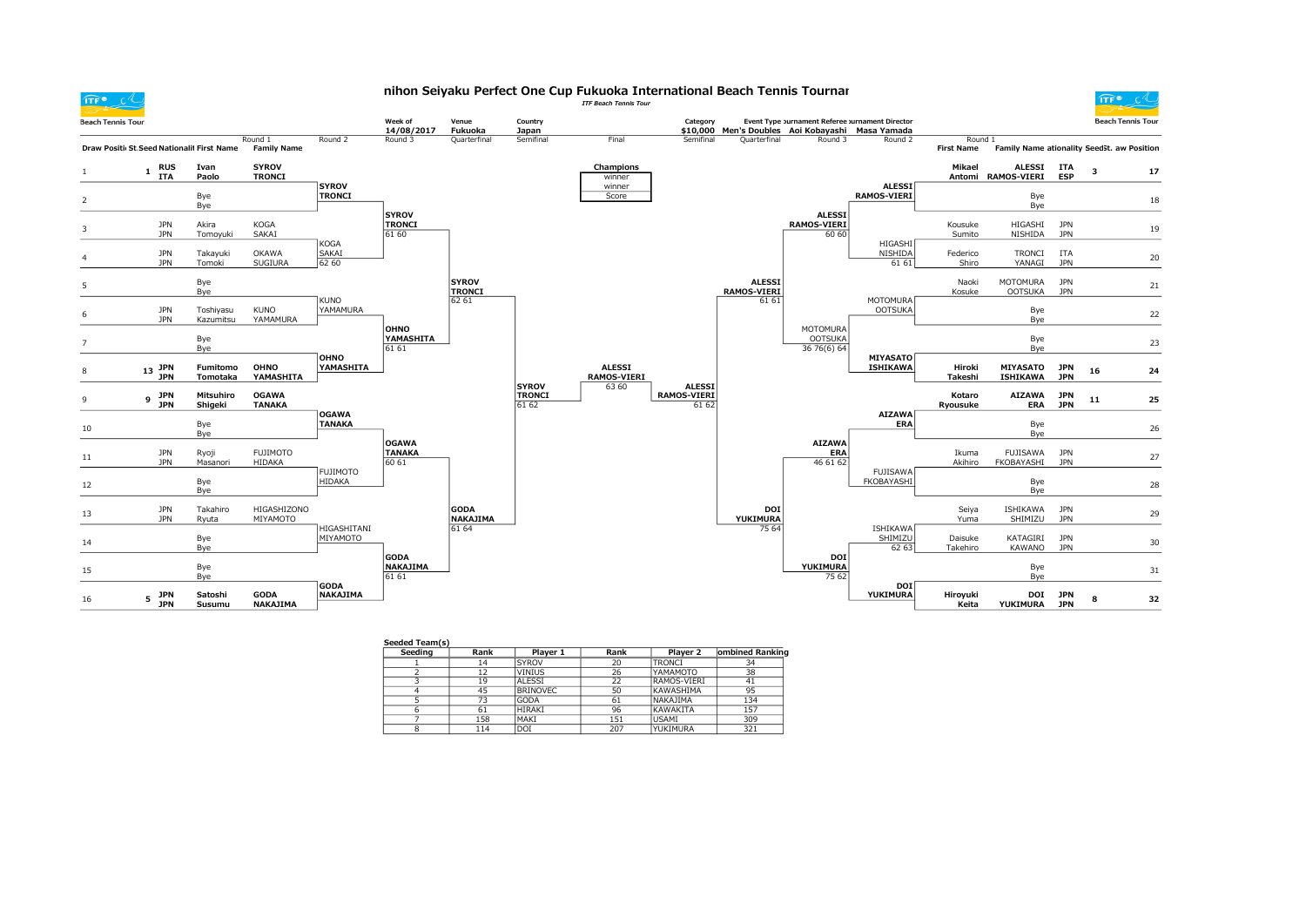nihon Seiyaku Perfect One Cup Fukuoka International Beach Tennis Tournar<br>ITF Beach Tennis Tour

 $\widehat{\mathsf{ITF}}$  of



| <b>Beach Tennis Tour</b> |                                             |                             |                                |                                | Week of                                 | Venue                                  | Country                                |                                     | Category                    |                                              | Event Type purnament Referee Jurnament Director             |                                     |                              |                                            |                          |    | <b>Beach Tennis Tour</b> |
|--------------------------|---------------------------------------------|-----------------------------|--------------------------------|--------------------------------|-----------------------------------------|----------------------------------------|----------------------------------------|-------------------------------------|-----------------------------|----------------------------------------------|-------------------------------------------------------------|-------------------------------------|------------------------------|--------------------------------------------|--------------------------|----|--------------------------|
|                          | Draw Positi: St. Seed Nationalit First Name |                             | Round 1<br><b>Family Name</b>  | Round 2                        | 14/08/2017<br>Round 3                   | Fukuoka<br>Quarterfinal                | Japan<br>Semifinal                     | Final                               | Semifinal                   | Quarterfinal                                 | \$10,000 Men's Doubles Aoi Kobayashi Masa Yamada<br>Round 3 | Round 2                             | Round 1<br><b>First Name</b> | Family Name ationality SeedSt. aw Position |                          |    |                          |
|                          | <b>RUS</b><br>1<br><b>ITA</b>               | Ivan<br>Paolo               | <b>SYROV</b><br><b>TRONCI</b>  |                                |                                         |                                        |                                        | Champions<br>winner                 |                             |                                              |                                                             |                                     | Mikael                       | ALESSI ITA<br>Antomi RAMOS-VIERI           | <b>ESP</b>               | 3  | 17                       |
|                          |                                             | Bye<br>Bye                  |                                | <b>SYROV</b><br><b>TRONCI</b>  |                                         |                                        |                                        | winner<br>Score                     |                             |                                              |                                                             | <b>ALESSI</b><br><b>RAMOS-VIERI</b> |                              | Bye<br>Bye                                 |                          |    | 18                       |
|                          | <b>JPN</b><br><b>JPN</b>                    | Akira<br>Tomoyuki           | <b>KOGA</b><br>SAKAI           |                                | <b>SYROV</b><br><b>TRONCI</b><br>61 60  |                                        |                                        |                                     |                             |                                              | <b>ALESSI</b><br><b>RAMOS-VIERI</b><br>60 60                |                                     | Kousuke<br>Sumito            | HIGASHI<br>NISHIDA                         | <b>JPN</b><br><b>JPN</b> |    | 19                       |
|                          | <b>JPN</b><br><b>JPN</b>                    | Takayuki<br>Tomoki          | OKAWA<br><b>SUGIURA</b>        | KOGA<br>SAKAI<br>62 60         |                                         |                                        |                                        |                                     |                             |                                              |                                                             | HIGASHI<br>NISHIDA<br>61 61         | Federico<br>Shiro            | <b>TRONCI</b><br>YANAGI                    | <b>ITA</b><br><b>JPN</b> |    | 20                       |
| 5                        |                                             | Bye<br>Bye                  |                                | KUNO                           |                                         | <b>SYROV</b><br><b>TRONCI</b><br>62 61 |                                        |                                     |                             | <b>ALESSI</b><br><b>RAMOS-VIERI</b><br>61 61 |                                                             | <b>MOTOMURA</b>                     | Naoki<br>Kosuke              | MOTOMURA<br><b>OOTSUKA</b>                 | <b>JPN</b><br><b>JPN</b> |    | 21                       |
|                          | <b>JPN</b><br><b>JPN</b>                    | Toshiyasu<br>Kazumitsu      | <b>KUNO</b><br>YAMAMURA        | YAMAMURA                       | OHNO                                    |                                        |                                        |                                     |                             |                                              | <b>MOTOMURA</b>                                             | <b>OOTSUKA</b>                      |                              | Bye<br>Bye                                 |                          |    | 22                       |
|                          |                                             | Bye<br>Bye                  |                                | OHNO                           | YAMASHITA<br>61 61                      |                                        |                                        |                                     |                             |                                              | <b>OOTSUKA</b><br>36 76(6) 64                               | <b>MIYASATO</b>                     |                              | Bye<br>Bye                                 |                          |    | 23                       |
|                          | $13$ JPN<br><b>JPN</b>                      | Fumitomo<br><b>Tomotaka</b> | OHNO<br>YAMASHITA              | YAMASHITA                      |                                         |                                        |                                        | <b>ALESSI</b><br><b>RAMOS-VIERI</b> | <b>ALESSI</b>               |                                              |                                                             | <b>ISHIKAWA</b>                     | Hiroki<br>Takeshi            | <b>MIYASATO</b><br><b>ISHIKAWA</b>         | <b>JPN</b><br><b>JPN</b> | 16 | 24                       |
|                          | JPN<br>9<br><b>JPN</b>                      | Mitsuhiro<br>Shigeki        | <b>OGAWA</b><br><b>TANAKA</b>  |                                |                                         |                                        | <b>SYROV</b><br><b>TRONCI</b><br>61 62 | 63 60                               | <b>RAMOS-VIERI</b><br>61 62 |                                              |                                                             |                                     | Kotaro<br>Ryousuke           | <b>AIZAWA</b><br><b>ERA</b>                | <b>JPN</b><br><b>JPN</b> | 11 | 25                       |
| 10                       |                                             | Bye<br>Bye                  |                                | <b>OGAWA</b><br><b>TANAKA</b>  |                                         |                                        |                                        |                                     |                             |                                              |                                                             | <b>AIZAWA</b><br><b>ERA</b>         |                              | Bye<br>Bye                                 |                          |    | 26                       |
| 11                       | <b>JPN</b><br><b>JPN</b>                    | Ryoji<br>Masanori           | <b>FUJIMOTO</b><br>HIDAKA      |                                | <b>OGAWA</b><br><b>TANAKA</b><br>60 61  |                                        |                                        |                                     |                             |                                              | <b>AIZAWA</b><br>ERA<br>46 61 62                            |                                     | Ikuma<br>Akihiro             | FUJISAWA<br>FKOBAYASHI                     | <b>JPN</b><br><b>JPN</b> |    | 27                       |
| 12                       |                                             | Bye<br>Bye                  |                                | <b>FUJIMOTO</b><br>HIDAKA      |                                         |                                        |                                        |                                     |                             |                                              |                                                             | <b>FUJISAWA</b><br>FKOBAYASHI       |                              | Bye<br>Bye                                 |                          |    | 28                       |
| 13                       | <b>JPN</b><br><b>JPN</b>                    | Takahiro<br>Ryuta           | HIGASHIZONO<br>MIYAMOTO        |                                |                                         | <b>GODA</b><br><b>NAKAJIMA</b>         |                                        |                                     |                             | <b>DOI</b><br>YUKIMURA                       |                                                             | <b>ISHIKAWA</b>                     | Seiya<br>Yuma                | ISHIKAWA<br>SHIMIZU                        | <b>JPN</b><br><b>JPN</b> |    | 29                       |
| 14                       |                                             | Bye<br>Bye                  |                                | HIGASHITANI<br>MIYAMOTO        |                                         | 61 64                                  |                                        |                                     |                             | 75 64                                        |                                                             | SHIMIZU<br>62 63                    | Daisuke<br>Takehiro          | KATAGIRI<br>KAWANO                         | <b>JPN</b><br><b>JPN</b> |    | 30                       |
| 15                       |                                             | Bye<br>Bye                  |                                |                                | <b>GODA</b><br><b>NAKAJIMA</b><br>61 61 |                                        |                                        |                                     |                             |                                              | <b>DOI</b><br>YUKIMURA<br>75 62                             |                                     |                              | Bye<br>Bye                                 |                          |    | 31                       |
| 16                       | JPN<br>5<br><b>JPN</b>                      | Satoshi<br>Susumu           | <b>GODA</b><br><b>NAKAJIMA</b> | <b>GODA</b><br><b>NAKAJIMA</b> |                                         |                                        |                                        |                                     |                             |                                              |                                                             | DOI<br>YUKIMURA                     | Hiroyuki<br>Keita            | DOI<br>YUKIMURA JPN                        | <b>JPN</b>               | 8  | 32                       |

| Seeded Team(s) |      |                 |      |                 |                 |
|----------------|------|-----------------|------|-----------------|-----------------|
| Seeding        | Rank | Plaver 1        | Rank | Player 2        | ombined Ranking |
|                | 14   | <b>SYROV</b>    | 20   | <b>TRONCI</b>   | 34              |
|                | 12   | <b>VINIUS</b>   | 26   | YAMAMOTO        | 38              |
|                | 19   | AI FSST         | 22   | RAMOS-VIFRI     | 41              |
|                | 45   | <b>BRINOVEC</b> | 50   | KAWASHIMA       | 95              |
|                | 73   | <b>GODA</b>     | 61   | <b>NAKAJIMA</b> | 134             |
|                | 61   | <b>HIRAKI</b>   | 96   | KAWAKITA        | 157             |
|                | 158  | MAKI            | 151  | <b>USAMI</b>    | 309             |
|                | 114  | DOI             | 207  | YUKIMURA        | 321             |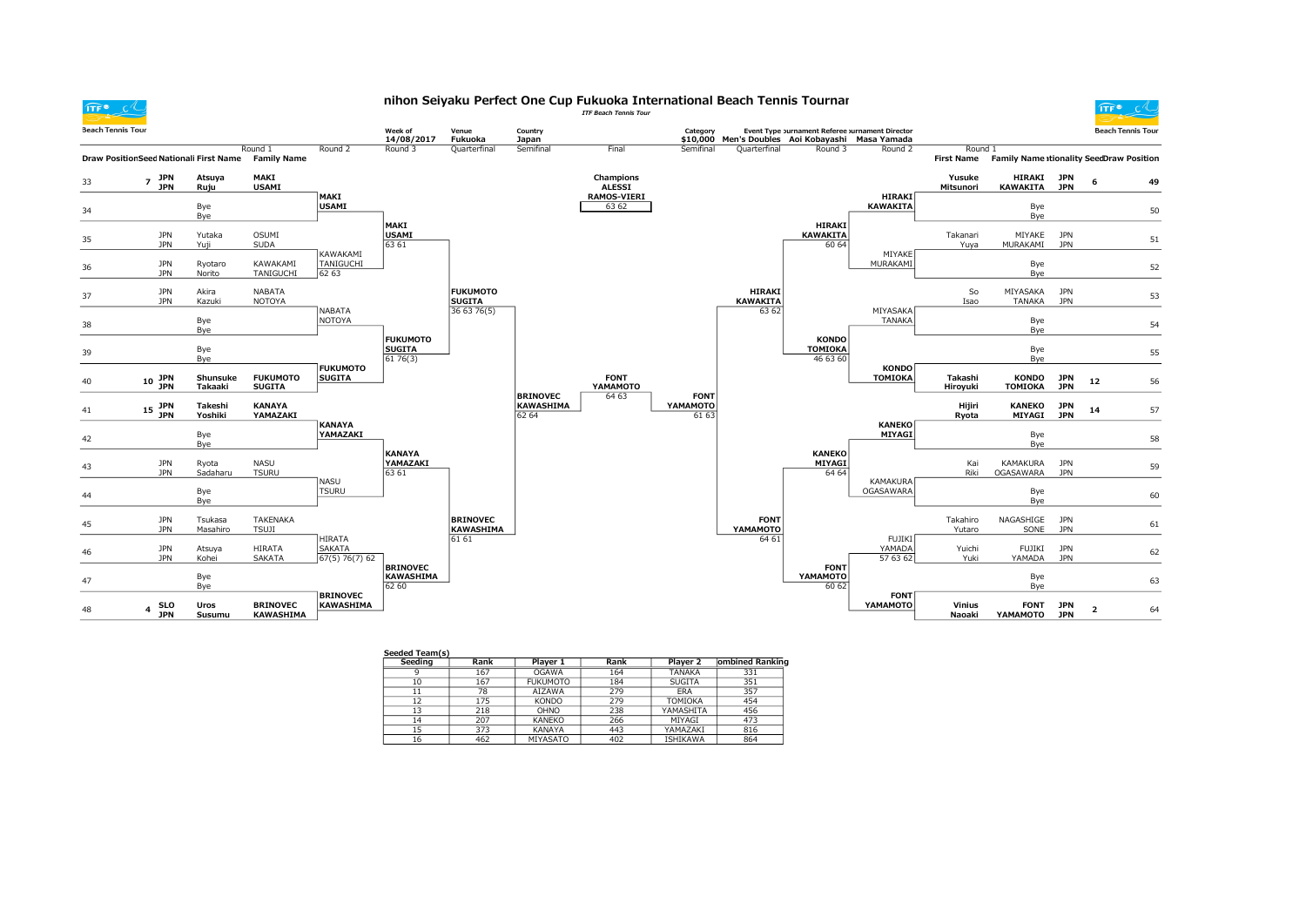$TFF^{\bullet}$   $C^{\circ}$ 

## nihon Seiyaku Perfect One Cup Fukuoka International Beach Tennis Tournar<br>ITF Beach Tennis Tour



| <b>Beach Tennis Tour</b> |                                            |                     |                                     |                                           | Week of<br>14/08/2017                       | Venue<br>Fukuoka                    | Country<br>Japan                             |                                | Category                         |                           | Event Type purnament Referee Jurnament Director<br>\$10,000 Men's Doubles Aoi Kobayashi Masa Yamada |                                     |                     |                                                     |                          |                | <b>Beach Tennis Tour</b> |
|--------------------------|--------------------------------------------|---------------------|-------------------------------------|-------------------------------------------|---------------------------------------------|-------------------------------------|----------------------------------------------|--------------------------------|----------------------------------|---------------------------|-----------------------------------------------------------------------------------------------------|-------------------------------------|---------------------|-----------------------------------------------------|--------------------------|----------------|--------------------------|
|                          | Draw PositionSeed Nationali First Name     |                     | Round 1<br><b>Family Name</b>       | Round 2                                   | Round 3                                     | Quarterfinal                        | Semifinal                                    | Final                          | Semifinal                        | Quarterfinal              | Round 3                                                                                             | Round 2                             | Round 1             | First Name Family Name itionality SeedDraw Position |                          |                |                          |
| 33                       | $7$ JPN<br><b>JPN</b>                      | Atsuya<br>Ruju      | MAKI<br><b>USAMI</b>                |                                           |                                             |                                     |                                              | Champions<br><b>ALESSI</b>     |                                  |                           |                                                                                                     |                                     | Yusuke<br>Mitsunori | HIRAKI<br><b>KAWAKITA</b>                           | <b>JPN</b><br><b>JPN</b> | 6              | 49                       |
| 34                       |                                            | Bye<br>Bye          |                                     | MAKI<br><b>USAMI</b>                      |                                             |                                     |                                              | <b>RAMOS-VIERI</b><br>63 62    |                                  |                           |                                                                                                     | HIRAKI<br><b>KAWAKITA</b>           |                     | Bye<br>Bye                                          |                          |                | 50                       |
| 35                       | <b>JPN</b><br><b>JPN</b>                   | Yutaka<br>Yuji      | OSUMI<br><b>SUDA</b>                |                                           | MAKI<br><b>USAMI</b><br>63 61               |                                     |                                              |                                |                                  |                           | HIRAKI<br><b>KAWAKITA</b><br>60 64                                                                  |                                     | Takanari<br>Yuya    | MIYAKE<br>MURAKAMI                                  | <b>JPN</b><br><b>JPN</b> |                | 51                       |
| 36                       | <b>JPN</b><br><b>JPN</b>                   | Ryotaro<br>Norito   | KAWAKAMI<br>TANIGUCHI               | KAWAKAMI<br>TANIGUCHI<br>62 63            |                                             |                                     |                                              |                                |                                  |                           |                                                                                                     | MIYAKE<br>MURAKAMI                  |                     | Bye<br>Bye                                          |                          |                | 52                       |
| 37                       | <b>JPN</b><br><b>JPN</b>                   | Akira<br>Kazuki     | NABATA<br><b>NOTOYA</b>             |                                           |                                             | <b>FUKUMOTO</b><br><b>SUGITA</b>    |                                              |                                |                                  | HIRAKI<br><b>KAWAKITA</b> |                                                                                                     |                                     | So<br>Isao          | MIYASAKA<br><b>TANAKA</b>                           | JPN<br><b>JPN</b>        |                | 53                       |
| 38                       |                                            | Bye<br>Bye          |                                     | NABATA<br><b>NOTOYA</b>                   |                                             | 36 63 76(5)                         |                                              |                                |                                  | 63 62                     |                                                                                                     | MIYASAKA<br><b>TANAKA</b>           |                     | Bye<br>Bye                                          |                          |                | 54                       |
| 39                       |                                            | Bye<br>Bye          |                                     |                                           | <b>FUKUMOTO</b><br><b>SUGITA</b><br>6176(3) |                                     |                                              |                                |                                  |                           | <b>KONDO</b><br><b>TOMIOKA</b><br>46 63 60                                                          |                                     |                     | Bye<br>Bye                                          |                          |                | 55                       |
| 40                       | $10^{-$ JPN<br><b>JPN</b>                  | Shunsuke<br>Takaaki | <b>FUKUMOTO</b><br><b>SUGITA</b>    | <b>FUKUMOTO</b><br><b>SUGITA</b>          |                                             |                                     |                                              | <b>FONT</b><br><b>ҮАМАМОТО</b> |                                  |                           |                                                                                                     | <b>KONDO</b><br><b>TOMIOKA</b>      | Takashi<br>Hiroyuki | <b>KONDO</b><br>TOMIOKA                             | <b>JPN</b><br><b>JPN</b> | $12\,$         | 56                       |
| 41                       | $15$ JPN<br><b>JPN</b>                     | Takeshi<br>Yoshiki  | <b>KANAYA</b><br>YAMAZAKI           |                                           |                                             |                                     | <b>BRINOVEC</b><br><b>KAWASHIMA</b><br>62 64 | 64 63                          | <b>FONT</b><br>YAMAMOTO<br>61 63 |                           |                                                                                                     |                                     | Hijiri<br>Ryota     | <b>KANEKO</b><br><b>MIYAGI</b>                      | <b>JPN</b><br><b>JPN</b> | 14             | 57                       |
| 42                       |                                            | Bye<br>Bye          |                                     | <b>KANAYA</b><br>YAMAZAKI                 |                                             |                                     |                                              |                                |                                  |                           |                                                                                                     | <b>KANEKO</b><br><b>MIYAGI</b>      |                     | Bye<br>Bye                                          |                          |                | 58                       |
| 43                       | <b>JPN</b><br><b>JPN</b>                   | Ryota<br>Sadaharu   | <b>NASU</b><br><b>TSURU</b>         |                                           | <b>KANAYA</b><br>YAMAZAKI<br>63 61          |                                     |                                              |                                |                                  |                           | <b>KANEKO</b><br><b>MIYAGI</b><br>64 64                                                             |                                     | Kai<br>Riki         | KAMAKURA<br>OGASAWARA                               | <b>JPN</b><br><b>JPN</b> |                | 59                       |
| 44                       |                                            | Bye<br>Bye          |                                     | NASU<br><b>TSURU</b>                      |                                             |                                     |                                              |                                |                                  |                           |                                                                                                     | <b>KAMAKURA</b><br><b>OGASAWARA</b> |                     | Bye<br>Bye                                          |                          |                | 60                       |
| 45                       | <b>JPN</b><br><b>JPN</b>                   | Tsukasa<br>Masahiro | <b>TAKENAKA</b><br><b>TSUJI</b>     |                                           |                                             | <b>BRINOVEC</b><br><b>KAWASHIMA</b> |                                              |                                |                                  | <b>FONT</b><br>YAMAMOTO   |                                                                                                     |                                     | Takahiro<br>Yutaro  | NAGASHIGE<br>SONE                                   | JPN<br><b>JPN</b>        |                | 61                       |
| 46                       | <b>JPN</b><br><b>JPN</b>                   | Atsuya<br>Kohei     | HIRATA<br><b>SAKATA</b>             | <b>HIRATA</b><br>SAKATA<br>67(5) 76(7) 62 |                                             | 61 61                               |                                              |                                |                                  | 64 61                     |                                                                                                     | FUJIKI<br>YAMADA<br>57 63 62        | Yuichi<br>Yuki      | FUJIKI<br>YAMADA                                    | <b>JPN</b><br><b>JPN</b> |                | 62                       |
| 47                       |                                            | Bye<br>Bye          |                                     |                                           | <b>BRINOVEC</b><br>KAWASHIMA<br>62 60       |                                     |                                              |                                |                                  |                           | <b>FONT</b><br><b>ҮАМАМОТО</b><br>60 62                                                             |                                     |                     | Bye<br>Bye                                          |                          |                | 63                       |
| 48                       | <b>SLO</b><br>$\overline{4}$<br><b>JPN</b> | Uros<br>Susumu      | <b>BRINOVEC</b><br><b>KAWASHIMA</b> | <b>BRINOVEC</b><br>KAWASHIMA              |                                             |                                     |                                              |                                |                                  |                           |                                                                                                     | <b>FONT</b><br><b>ҮАМАМОТО</b>      | Vinius<br>Naoaki    | <b>FONT</b><br>YAMAMOTO                             | <b>JPN</b><br><b>JPN</b> | $\overline{2}$ | 64                       |

| Seeded Team(s) |      |                 |      |                 |                 |
|----------------|------|-----------------|------|-----------------|-----------------|
| Seeding        | Rank | Player 1        | Rank | Player 2        | ombined Ranking |
| 9              | 167  | <b>OGAWA</b>    | 164  | <b>TANAKA</b>   | 331             |
| 10             | 167  | <b>FUKUMOTO</b> | 184  | <b>SUGITA</b>   | 351             |
| 11             | 78   | <b>AIZAWA</b>   | 279  | ERA             | 357             |
| 12             | 175  | <b>KONDO</b>    | 279  | <b>TOMIOKA</b>  | 454             |
| 13             | 218  | OHNO            | 238  | YAMASHITA       | 456             |
| 14             | 207  | <b>KANEKO</b>   | 266  | MIYAGI          | 473             |
| 15             | 373  | <b>KANAYA</b>   | 443  | YAMAZAKI        | 816             |
| 16             | 462  | MIYASATO        | 402  | <b>ISHIKAWA</b> | 864             |